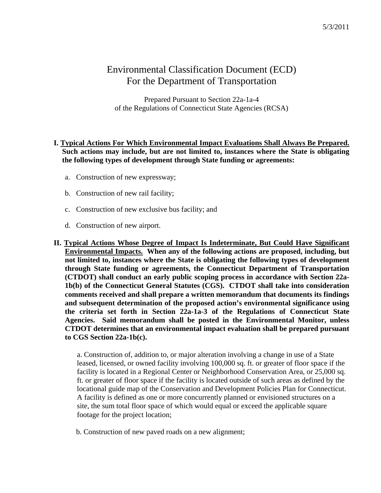# Environmental Classification Document (ECD) For the Department of Transportation

Prepared Pursuant to Section 22a-1a-4 of the Regulations of Connecticut State Agencies (RCSA)

# **I. Typical Actions For Which Environmental Impact Evaluations Shall Always Be Prepared. Such actions may include, but are not limited to, instances where the State is obligating the following types of development through State funding or agreements:**

- a. Construction of new expressway;
- b. Construction of new rail facility;
- c. Construction of new exclusive bus facility; and
- d. Construction of new airport.

**II. Typical Actions Whose Degree of Impact Is Indeterminate, But Could Have Significant Environmental Impacts. When any of the following actions are proposed, including, but not limited to, instances where the State is obligating the following types of development through State funding or agreements, the Connecticut Department of Transportation (CTDOT) shall conduct an early public scoping process in accordance with Section 22a-1b(b) of the Connecticut General Statutes (CGS). CTDOT shall take into consideration comments received and shall prepare a written memorandum that documents its findings and subsequent determination of the proposed action's environmental significance using the criteria set forth in Section 22a-1a-3 of the Regulations of Connecticut State Agencies. Said memorandum shall be posted in the Environmental Monitor, unless CTDOT determines that an environmental impact evaluation shall be prepared pursuant to CGS Section 22a-1b(c).** 

a. Construction of, addition to, or major alteration involving a change in use of a State leased, licensed, or owned facility involving 100,000 sq. ft. or greater of floor space if the facility is located in a Regional Center or Neighborhood Conservation Area, or 25,000 sq. ft. or greater of floor space if the facility is located outside of such areas as defined by the locational guide map of the Conservation and Development Policies Plan for Connecticut. A facility is defined as one or more concurrently planned or envisioned structures on a site, the sum total floor space of which would equal or exceed the applicable square footage for the project location;

b. Construction of new paved roads on a new alignment;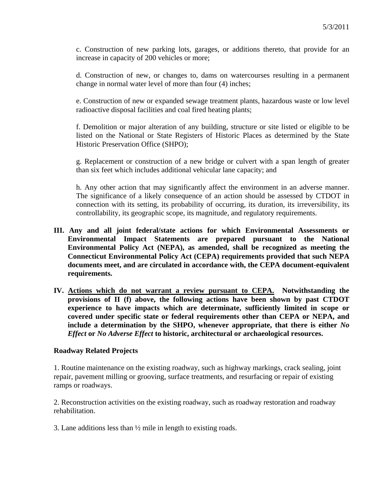c. Construction of new parking lots, garages, or additions thereto, that provide for an increase in capacity of 200 vehicles or more;

d. Construction of new, or changes to, dams on watercourses resulting in a permanent change in normal water level of more than four (4) inches;

e. Construction of new or expanded sewage treatment plants, hazardous waste or low level radioactive disposal facilities and coal fired heating plants;

f. Demolition or major alteration of any building, structure or site listed or eligible to be listed on the National or State Registers of Historic Places as determined by the State Historic Preservation Office (SHPO);

g. Replacement or construction of a new bridge or culvert with a span length of greater than six feet which includes additional vehicular lane capacity; and

h. Any other action that may significantly affect the environment in an adverse manner. The significance of a likely consequence of an action should be assessed by CTDOT in connection with its setting, its probability of occurring, its duration, its irreversibility, its controllability, its geographic scope, its magnitude, and regulatory requirements.

- **III. Any and all joint federal/state actions for which Environmental Assessments or Environmental Impact Statements are prepared pursuant to the National Environmental Policy Act (NEPA), as amended, shall be recognized as meeting the Connecticut Environmental Policy Act (CEPA) requirements provided that such NEPA documents meet, and are circulated in accordance with, the CEPA document-equivalent requirements.**
- **IV. Actions which do not warrant a review pursuant to CEPA. Notwithstanding the provisions of II (f) above, the following actions have been shown by past CTDOT experience to have impacts which are determinate, sufficiently limited in scope or covered under specific state or federal requirements other than CEPA or NEPA, and include a determination by the SHPO, whenever appropriate, that there is either** *No Effect* **or** *No Adverse Effect* **to historic, architectural or archaeological resources.**

### **Roadway Related Projects**

1. Routine maintenance on the existing roadway, such as highway markings, crack sealing, joint repair, pavement milling or grooving, surface treatments, and resurfacing or repair of existing ramps or roadways.

2. Reconstruction activities on the existing roadway, such as roadway restoration and roadway rehabilitation.

3. Lane additions less than ½ mile in length to existing roads.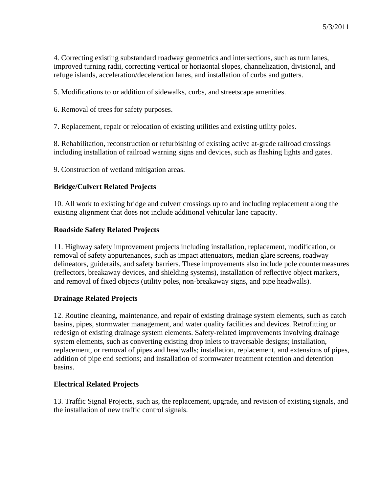4. Correcting existing substandard roadway geometrics and intersections, such as turn lanes, improved turning radii, correcting vertical or horizontal slopes, channelization, divisional, and refuge islands, acceleration/deceleration lanes, and installation of curbs and gutters.

5. Modifications to or addition of sidewalks, curbs, and streetscape amenities.

6. Removal of trees for safety purposes.

7. Replacement, repair or relocation of existing utilities and existing utility poles.

8. Rehabilitation, reconstruction or refurbishing of existing active at-grade railroad crossings including installation of railroad warning signs and devices, such as flashing lights and gates.

9. Construction of wetland mitigation areas.

#### **Bridge/Culvert Related Projects**

10. All work to existing bridge and culvert crossings up to and including replacement along the existing alignment that does not include additional vehicular lane capacity.

#### **Roadside Safety Related Projects**

11. Highway safety improvement projects including installation, replacement, modification, or removal of safety appurtenances, such as impact attenuators, median glare screens, roadway delineators, guiderails, and safety barriers. These improvements also include pole countermeasures (reflectors, breakaway devices, and shielding systems), installation of reflective object markers, and removal of fixed objects (utility poles, non-breakaway signs, and pipe headwalls).

#### **Drainage Related Projects**

12. Routine cleaning, maintenance, and repair of existing drainage system elements, such as catch basins, pipes, stormwater management, and water quality facilities and devices. Retrofitting or redesign of existing drainage system elements. Safety-related improvements involving drainage system elements, such as converting existing drop inlets to traversable designs; installation, replacement, or removal of pipes and headwalls; installation, replacement, and extensions of pipes, addition of pipe end sections; and installation of stormwater treatment retention and detention basins.

### **Electrical Related Projects**

13. Traffic Signal Projects, such as, the replacement, upgrade, and revision of existing signals, and the installation of new traffic control signals.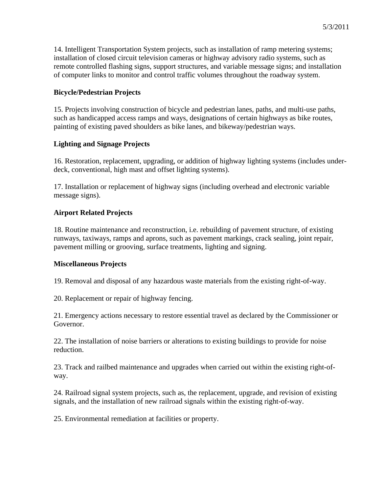14. Intelligent Transportation System projects, such as installation of ramp metering systems; installation of closed circuit television cameras or highway advisory radio systems, such as remote controlled flashing signs, support structures, and variable message signs; and installation of computer links to monitor and control traffic volumes throughout the roadway system.

# **Bicycle/Pedestrian Projects**

15. Projects involving construction of bicycle and pedestrian lanes, paths, and multi-use paths, such as handicapped access ramps and ways, designations of certain highways as bike routes, painting of existing paved shoulders as bike lanes, and bikeway/pedestrian ways.

# **Lighting and Signage Projects**

16. Restoration, replacement, upgrading, or addition of highway lighting systems (includes underdeck, conventional, high mast and offset lighting systems).

17. Installation or replacement of highway signs (including overhead and electronic variable message signs).

# **Airport Related Projects**

18. Routine maintenance and reconstruction, i.e. rebuilding of pavement structure, of existing runways, taxiways, ramps and aprons, such as pavement markings, crack sealing, joint repair, pavement milling or grooving, surface treatments, lighting and signing.

### **Miscellaneous Projects**

19. Removal and disposal of any hazardous waste materials from the existing right-of-way.

20. Replacement or repair of highway fencing.

21. Emergency actions necessary to restore essential travel as declared by the Commissioner or Governor.

22. The installation of noise barriers or alterations to existing buildings to provide for noise reduction.

23. Track and railbed maintenance and upgrades when carried out within the existing right-ofway.

24. Railroad signal system projects, such as, the replacement, upgrade, and revision of existing signals, and the installation of new railroad signals within the existing right-of-way.

25. Environmental remediation at facilities or property.